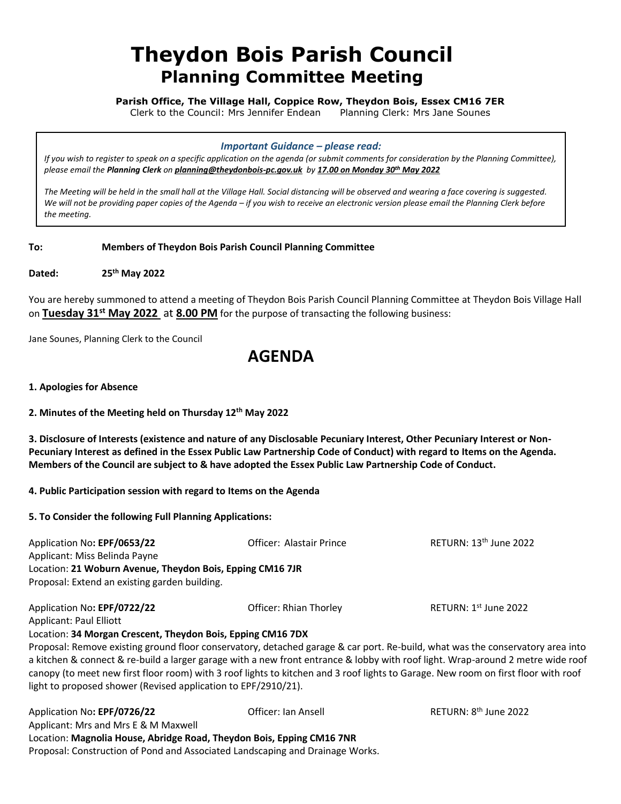# **Theydon Bois Parish Council Planning Committee Meeting**

**Parish Office, The Village Hall, Coppice Row, Theydon Bois, Essex CM16 7ER**

Clerk to the Council: Mrs Jennifer Endean Planning Clerk: Mrs Jane Sounes

#### *Important Guidance – please read:*

*If you wish to register to speak on a specific application on the agenda (or submit comments for consideration by the Planning Committee), please email the Planning Clerk on [planning@theydonbois-pc.gov.uk](mailto:planning@theydonbois-pc.gov.uk) by 17.00 on Monday 30th May 2022*

*The Meeting will be held in the small hall at the Village Hall. Social distancing will be observed and wearing a face covering is suggested. We will not be providing paper copies of the Agenda – if you wish to receive an electronic version please email the Planning Clerk before*  the meeting.

**To: Members of Theydon Bois Parish Council Planning Committee**

**Dated: 25th May 2022**

You are hereby summoned to attend a meeting of Theydon Bois Parish Council Planning Committee at Theydon Bois Village Hall on **Tuesday 31st May 2022** at **8.00 PM** for the purpose of transacting the following business:

Jane Sounes, Planning Clerk to the Council

## **AGENDA**

**1. Apologies for Absence**

**2. Minutes of the Meeting held on Thursday 12th May 2022**

**3. Disclosure of Interests (existence and nature of any Disclosable Pecuniary Interest, Other Pecuniary Interest or Non-Pecuniary Interest as defined in the Essex Public Law Partnership Code of Conduct) with regard to Items on the Agenda. Members of the Council are subject to & have adopted the Essex Public Law Partnership Code of Conduct.**

### **4. Public Participation session with regard to Items on the Agenda**

**5. To Consider the following Full Planning Applications:**

| Application No: EPF/0653/22<br>Applicant: Miss Belinda Payne<br>Location: 21 Woburn Avenue, Theydon Bois, Epping CM16 7JR<br>Proposal: Extend an existing garden building. | Officer: Alastair Prince | RETURN: 13 <sup>th</sup> June 2022 |
|----------------------------------------------------------------------------------------------------------------------------------------------------------------------------|--------------------------|------------------------------------|
| Application No: EPF/0722/22<br><b>Applicant: Paul Elliott</b>                                                                                                              | Officer: Rhian Thorley   | RETURN: $1st$ June 2022            |

### Location: **34 Morgan Crescent, Theydon Bois, Epping CM16 7DX**

Proposal: Remove existing ground floor conservatory, detached garage & car port. Re-build, what was the conservatory area into a kitchen & connect & re-build a larger garage with a new front entrance & lobby with roof light. Wrap-around 2 metre wide roof canopy (to meet new first floor room) with 3 roof lights to kitchen and 3 roof lights to Garage. New room on first floor with roof light to proposed shower (Revised application to EPF/2910/21).

| Application No: EPF/0726/22                                                   | Officer: Ian Ansell | RETURN: 8 <sup>th</sup> June 2022 |  |
|-------------------------------------------------------------------------------|---------------------|-----------------------------------|--|
| Applicant: Mrs and Mrs E & M Maxwell                                          |                     |                                   |  |
| Location: Magnolia House, Abridge Road, Theydon Bois, Epping CM16 7NR         |                     |                                   |  |
| Proposal: Construction of Pond and Associated Landscaping and Drainage Works. |                     |                                   |  |